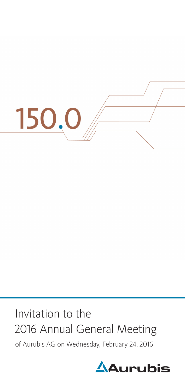

# Invitation to the 2016 Annual General Meeting

of Aurubis AG on Wednesday, February 24, 2016

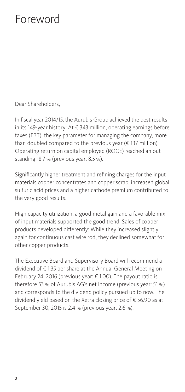## Foreword

Dear Shareholders,

In fiscal year 2014/15, the Aurubis Group achieved the best results in its 149-year history: At € 343 million, operating earnings before taxes (EBT), the key parameter for managing the company, more than doubled compared to the previous year (€ 137 million). Operating return on capital employed (ROCE) reached an outstanding 18.7 % (previous year: 8.5 %).

Significantly higher treatment and refining charges for the input materials copper concentrates and copper scrap, increased global sulfuric acid prices and a higher cathode premium contributed to the very good results.

High capacity utilization, a good metal gain and a favorable mix of input materials supported the good trend. Sales of copper products developed differently: While they increased slightly again for continuous cast wire rod, they declined somewhat for other copper products.

The Executive Board and Supervisory Board will recommend a dividend of € 1.35 per share at the Annual General Meeting on February 24, 2016 (previous year: € 1.00). The payout ratio is therefore 53 % of Aurubis AG's net income (previous year: 51 %) and corresponds to the dividend policy pursued up to now. The dividend yield based on the Xetra closing price of € 56.90 as at September 30, 2015 is 2.4 % (previous year: 2.6 %).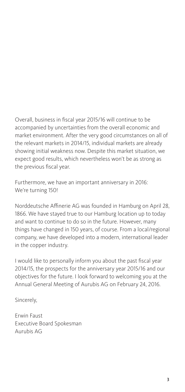Overall, business in fiscal year 2015/16 will continue to be accompanied by uncertainties from the overall economic and market environment. After the very good circumstances on all of the relevant markets in 2014/15, individual markets are already showing initial weakness now. Despite this market situation, we expect good results, which nevertheless won't be as strong as the previous fiscal year.

Furthermore, we have an important anniversary in 2016: We're turning 150!

Norddeutsche Affinerie AG was founded in Hamburg on April 28, 1866. We have stayed true to our Hamburg location up to today and want to continue to do so in the future. However, many things have changed in 150 years, of course. From a local/regional company, we have developed into a modern, international leader in the copper industry.

I would like to personally inform you about the past fiscal year 2014/15, the prospects for the anniversary year 2015/16 and our objectives for the future. I look forward to welcoming you at the Annual General Meeting of Aurubis AG on February 24, 2016.

Sincerely,

Erwin Faust Executive Board Spokesman Aurubis AG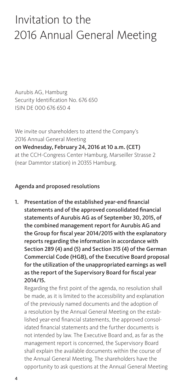## Invitation to the 2016 Annual General Meeting

Aurubis AG, Hamburg Security Identification No. 676 650 ISIN DE 000 676 650 4

We invite our shareholders to attend the Company's 2016 Annual General Meeting on Wednesday, February 24, 2016 at 10 a.m. (CET) at the CCH-Congress Center Hamburg, Marseiller Strasse 2 (near Dammtor station) in 20355 Hamburg.

#### Agenda and proposed resolutions

1. Presentation of the established year-end financial statements and of the approved consolidated financial statements of Aurubis AG as of September 30, 2015, of the combined management report for Aurubis AG and the Group for fiscal year 2014/2015 with the explanatory reports regarding the information in accordance with Section 289 (4) and (5) and Section 315 (4) of the German Commercial Code (HGB), of the Executive Board proposal for the utilization of the unappropriated earnings as well as the report of the Supervisory Board for fiscal year 2014/15.

Regarding the first point of the agenda, no resolution shall be made, as it is limited to the accessibility and explanation of the previously named documents and the adoption of a resolution by the Annual General Meeting on the established year-end financial statements, the approved consolidated financial statements and the further documents is not intended by law. The Executive Board and, as far as the management report is concerned, the Supervisory Board shall explain the available documents within the course of the Annual General Meeting. The shareholders have the opportunity to ask questions at the Annual General Meeting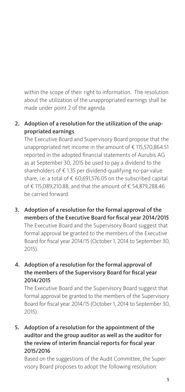within the scope of their right to information. The resolution about the utilization of the unappropriated earnings shall be made under point 2 of the agenda.

### 2. Adoption of a resolution for the utilization of the unappropriated earnings

The Executive Board and Supervisory Board propose that the unappropriated net income in the amount of € 115,570,864.51 reported in the adopted financial statements of Aurubis AG as at September 30, 2015 be used to pay a dividend to the shareholders of € 1.35 per dividend-qualifying no-par-value share, i.e. a total of € 60,691,576.05 on the subscribed capital of € 115,089,210.88, and that the amount of € 54,879,288.46 be carried forward.

3. Adoption of a resolution for the formal approval of the members of the Executive Board for fiscal year 2014/2015

The Executive Board and the Supervisory Board suggest that formal approval be granted to the members of the Executive Board for fiscal year 2014/15 (October 1, 2014 to September 30, 2015).

#### 4. Adoption of a resolution for the formal approval of the members of the Supervisory Board for fiscal year 2014/2015

The Executive Board and the Supervisory Board suggest that formal approval be granted to the members of the Supervisory Board for fiscal year 2014/15 (October 1, 2014 to September 30, 2015).

### 5. Adoption of a resolution for the appointment of the auditor and the group auditor as well as the auditor for the review of interim financial reports for fiscal year 2015/2016

Based on the suggestions of the Audit Committee, the Supervisory Board proposes to adopt the following resolution: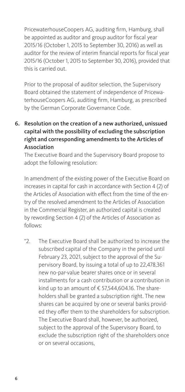PricewaterhouseCoopers AG, auditing firm, Hamburg, shall be appointed as auditor and group auditor for fiscal year 2015/16 (October 1, 2015 to September 30, 2016) as well as auditor for the review of interim financial reports for fiscal year 2015/16 (October 1, 2015 to September 30, 2016), provided that this is carried out.

Prior to the proposal of auditor selection, the Supervisory Board obtained the statement of independence of PricewaterhouseCoopers AG, auditing firm, Hamburg, as prescribed by the German Corporate Governance Code.

6. Resolution on the creation of a new authorized, unissued capital with the possibility of excluding the subscription right and corresponding amendments to the Articles of Association

The Executive Board and the Supervisory Board propose to adopt the following resolution:

In amendment of the existing power of the Executive Board on increases in capital for cash in accordance with Section 4 (2) of the Articles of Association with effect from the time of the entry of the resolved amendment to the Articles of Association in the Commercial Register, an authorized capital is created by rewording Section 4 (2) of the Articles of Association as follows:

"2. The Executive Board shall be authorized to increase the subscribed capital of the Company in the period until February 23, 2021, subject to the approval of the Supervisory Board, by issuing a total of up to 22,478,361 new no-par-value bearer shares once or in several installments for a cash contribution or a contribution in kind up to an amount of € 57,544,604.16. The shareholders shall be granted a subscription right. The new shares can be acquired by one or several banks provided they offer them to the shareholders for subscription. The Executive Board shall, however, be authorized, subject to the approval of the Supervisory Board, to exclude the subscription right of the shareholders once or on several occasions,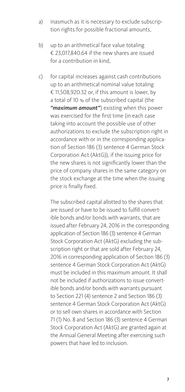- a) inasmuch as it is necessary to exclude subscription rights for possible fractional amounts,
- b) up to an arithmetical face value totaling € 23,017,840.64 if the new shares are issued for a contribution in kind,
- c) for capital increases against cash contributions up to an arithmetical nominal value totaling € 11,508,920.32 or, if this amount is lower, by a total of 10 % of the subscribed capital (the *"maximum amount"*) existing when this power was exercised for the first time (in each case taking into account the possible use of other authorizations to exclude the subscription right in accordance with or in the corresponding application of Section 186 (3) sentence 4 German Stock Corporation Act (AktG)), if the issuing price for the new shares is not significantly lower than the price of company shares in the same category on the stock exchange at the time when the issuing price is finally fixed.

 The subscribed capital allotted to the shares that are issued or have to be issued to fulfill convertible bonds and/or bonds with warrants, that are issued after February 24, 2016 in the corresponding application of Section 186 (3) sentence 4 German Stock Corporation Act (AktG) excluding the subscription right or that are sold after February 24, 2016 in corresponding application of Section 186 (3) sentence 4 German Stock Corporation Act (AktG) must be included in this maximum amount. It shall not be included if authorizations to issue convertible bonds and/or bonds with warrants pursuant to Section 221 (4) sentence 2 and Section 186 (3) sentence 4 German Stock Corporation Act (AktG) or to sell own shares in accordance with Section 71 (1) No. 8 and Section 186 (3) sentence 4 German Stock Corporation Act (AktG) are granted again at the Annual General Meeting after exercising such powers that have led to inclusion.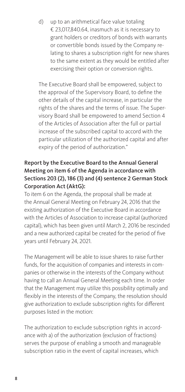d) up to an arithmetical face value totaling € 23,017,840.64, inasmuch as it is necessary to grant holders or creditors of bonds with warrants or convertible bonds issued by the Company relating to shares a subscription right for new shares to the same extent as they would be entitled after exercising their option or conversion rights.

 The Executive Board shall be empowered, subject to the approval of the Supervisory Board, to define the other details of the capital increase, in particular the rights of the shares and the terms of issue. The Supervisory Board shall be empowered to amend Section 4 of the Articles of Association after the full or partial increase of the subscribed capital to accord with the particular utilization of the authorized capital and after expiry of the period of authorization."

#### Report by the Executive Board to the Annual General Meeting on item 6 of the Agenda in accordance with Sections 203 (2), 186 (3) and (4) sentence 2 German Stock Corporation Act (AktG):

To item 6 on the Agenda, the proposal shall be made at the Annual General Meeting on February 24, 2016 that the existing authorization of the Executive Board in accordance with the Articles of Association to increase capital (authorized capital), which has been given until March 2, 2016 be rescinded and a new authorized capital be created for the period of five years until February 24, 2021.

The Management will be able to issue shares to raise further funds, for the acquisition of companies and interests in companies or otherwise in the interests of the Company without having to call an Annual General Meeting each time. In order that the Management may utilize this possibility optimally and flexibly in the interests of the Company, the resolution should give authorization to exclude subscription rights for different purposes listed in the motion:

The authorization to exclude subscription rights in accordance with a) of the authorization (exclusion of fractions) serves the purpose of enabling a smooth and manageable subscription ratio in the event of capital increases, which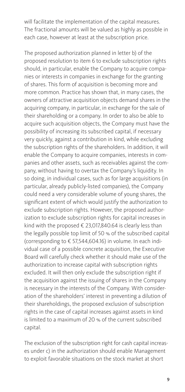will facilitate the implementation of the capital measures. The fractional amounts will be valued as highly as possible in each case, however at least at the subscription price.

The proposed authorization planned in letter b) of the proposed resolution to item 6 to exclude subscription rights should, in particular, enable the Company to acquire companies or interests in companies in exchange for the granting of shares. This form of acquisition is becoming more and more common. Practice has shown that, in many cases, the owners of attractive acquisition objects demand shares in the acquiring company, in particular, in exchange for the sale of their shareholding or a company. In order to also be able to acquire such acquisition objects, the Company must have the possibility of increasing its subscribed capital, if necessary very quickly, against a contribution in kind, while excluding the subscription rights of the shareholders. In addition, it will enable the Company to acquire companies, interests in companies and other assets, such as receivables against the company, without having to overtax the Company's liquidity. In so doing, in individual cases, such as for large acquisitions (in particular, already publicly-listed companies), the Company could need a very considerable volume of young shares, the significant extent of which would justify the authorization to exclude subscription rights. However, the proposed authorization to exclude subscription rights for capital increases in kind with the proposed € 23,017,840.64 is clearly less than the legally possible top limit of 50 % of the subscribed capital (corresponding to € 57,544,604.16) in volume. In each individual case of a possible concrete acquisition, the Executive Board will carefully check whether it should make use of the authorization to increase capital with subscription rights excluded. It will then only exclude the subscription right if the acquisition against the issuing of shares in the Company is necessary in the interests of the Company. With consideration of the shareholders' interest in preventing a dilution of their shareholdings, the proposed exclusion of subscription rights in the case of capital increases against assets in kind is limited to a maximum of 20 % of the current subscribed capital.

The exclusion of the subscription right for cash capital increases under c) in the authorization should enable Management to exploit favorable situations on the stock market at short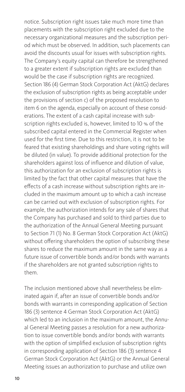notice. Subscription right issues take much more time than placements with the subscription right excluded due to the necessary organizational measures and the subscription period which must be observed. In addition, such placements can avoid the discounts usual for issues with subscription rights. The Company's equity capital can therefore be strengthened to a greater extent if subscription rights are excluded than would be the case if subscription rights are recognized. Section 186 (4) German Stock Corporation Act (AktG) declares the exclusion of subscription rights as being acceptable under the provisions of section c) of the proposed resolution to item 6 on the agenda, especially on account of these considerations. The extent of a cash capital increase with subscription rights excluded is, however, limited to 10 % of the subscribed capital entered in the Commercial Register when used for the first time. Due to this restriction, it is not to be feared that existing shareholdings and share voting rights will be diluted (in value). To provide additional protection for the shareholders against loss of influence and dilution of value, this authorization for an exclusion of subscription rights is limited by the fact that other capital measures that have the effects of a cash increase without subscription rights are included in the maximum amount up to which a cash increase can be carried out with exclusion of subscription rights. For example, the authorization intends for any sale of shares that the Company has purchased and sold to third parties due to the authorization of the Annual General Meeting pursuant to Section 71 (1) No. 8 German Stock Corporation Act (AktG) without offering shareholders the option of subscribing these shares to reduce the maximum amount in the same way as a future issue of convertible bonds and/or bonds with warrants if the shareholders are not granted subscription rights to them.

The inclusion mentioned above shall nevertheless be eliminated again if, after an issue of convertible bonds and/or bonds with warrants in corresponding application of Section 186 (3) sentence 4 German Stock Corporation Act (AktG) which led to an inclusion in the maximum amount, the Annual General Meeting passes a resolution for a new authorization to issue convertible bonds and/or bonds with warrants with the option of simplified exclusion of subscription rights in corresponding application of Section 186 (3) sentence 4 German Stock Corporation Act (AktG) or the Annual General Meeting issues an authorization to purchase and utilize own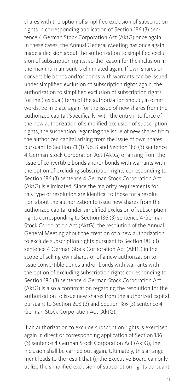shares with the option of simplified exclusion of subscription rights in corresponding application of Section 186 (3) sentence 4 German Stock Corporation Act (AktG) once again. In these cases, the Annual General Meeting has once again made a decision about the authorization to simplified exclusion of subscription rights, so the reason for the inclusion in the maximum amount is eliminated again. If own shares or convertible bonds and/or bonds with warrants can be issued under simplified exclusion of subscription rights again, the authorization to simplified exclusion of subscription rights for the (residual) term of the authorization should, in other words, be in place again for the issue of new shares from the authorized capital. Specifically, with the entry into force of the new authorization of simplified exclusion of subscription rights, the suspension regarding the issue of new shares from the authorized capital arising from the issue of own shares pursuant to Section 71 (1) No. 8 and Section 186 (3) sentence 4 German Stock Corporation Act (AktG) or arising from the issue of convertible bonds and/or bonds with warrants with the option of excluding subscription rights corresponding to Section 186 (3) sentence 4 German Stock Corporation Act (AktG) is eliminated. Since the majority requirements for this type of resolution are identical to those for a resolution about the authorization to issue new shares from the authorized capital under simplified exclusion of subscription rights corresponding to Section 186 (3) sentence 4 German Stock Corporation Act (AktG), the resolution of the Annual General Meeting about the creation of a new authorization to exclude subscription rights pursuant to Section 186 (3) sentence 4 German Stock Corporation Act (AktG) in the scope of selling own shares or of a new authorization to issue convertible bonds and/or bonds with warrants with the option of excluding subscription rights corresponding to Section 186 (3) sentence 4 German Stock Corporation Act (AktG) is also a confirmation regarding the resolution for the authorization to issue new shares from the authorized capital pursuant to Section 203 (2) and Section 186 (3) sentence 4 German Stock Corporation Act (AktG).

If an authorization to exclude subscription rights is exercised again in direct or corresponding application of Section 186 (3) sentence 4 German Stock Corporation Act (AktG), the inclusion shall be carried out again. Ultimately, this arrangement leads to the result that (i) the Executive Board can only utilize the simplified exclusion of subscription rights pursuant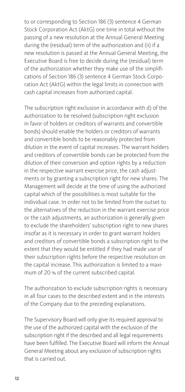to or corresponding to Section 186 (3) sentence 4 German Stock Corporation Act (AktG) one time in total without the passing of a new resolution at the Annual General Meeting during the (residual) term of the authorization and (ii) if a new resolution is passed at the Annual General Meeting, the Executive Board is free to decide during the (residual) term of the authorization whether they make use of the simplifications of Section 186 (3) sentence 4 German Stock Corporation Act (AktG) within the legal limits in connection with cash capital increases from authorized capital.

The subscription right exclusion in accordance with d) of the authorization to be resolved (subscription right exclusion in favor of holders or creditors of warrants and convertible bonds) should enable the holders or creditors of warrants and convertible bonds to be reasonably protected from dilution in the event of capital increases. The warrant holders and creditors of convertible bonds can be protected from the dilution of their conversion and option rights by a reduction in the respective warrant exercise price, the cash adjustments or by granting a subscription right for new shares. The Management will decide at the time of using the authorized capital which of the possibilities is most suitable for the individual case. In order not to be limited from the outset to the alternatives of the reduction in the warrant exercise price or the cash adjustments, an authorization is generally given to exclude the shareholders' subscription right to new shares insofar as it is necessary in order to grant warrant holders and creditors of convertible bonds a subscription right to the extent that they would be entitled if they had made use of their subscription rights before the respective resolution on the capital increase. This authorization is limited to a maximum of 20 % of the current subscribed capital.

The authorization to exclude subscription rights is necessary in all four cases to the described extent and in the interests of the Company due to the preceding explanations.

The Supervisory Board will only give its required approval to the use of the authorized capital with the exclusion of the subscription right if the described and all legal requirements have been fulfilled. The Executive Board will inform the Annual General Meeting about any exclusion of subscription rights that is carried out.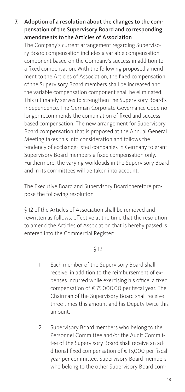7. Adoption of a resolution about the changes to the compensation of the Supervisory Board and corresponding amendments to the Articles of Association

The Company's current arrangement regarding Supervisory Board compensation includes a variable compensation component based on the Company's success in addition to a fixed compensation. With the following proposed amendment to the Articles of Association, the fixed compensation of the Supervisory Board members shall be increased and the variable compensation component shall be eliminated. This ultimately serves to strengthen the Supervisory Board's independence. The German Corporate Governance Code no longer recommends the combination of fixed and successbased compensation. The new arrangement for Supervisory Board compensation that is proposed at the Annual General Meeting takes this into consideration and follows the tendency of exchange-listed companies in Germany to grant Supervisory Board members a fixed compensation only. Furthermore, the varying workloads in the Supervisory Board and in its committees will be taken into account.

The Executive Board and Supervisory Board therefore propose the following resolution:

§ 12 of the Articles of Association shall be removed and rewritten as follows, effective at the time that the resolution to amend the Articles of Association that is hereby passed is entered into the Commercial Register:

#### "§ 12

- 1. Each member of the Supervisory Board shall receive, in addition to the reimbursement of expenses incurred while exercising his office, a fixed compensation of € 75,000.00 per fiscal year. The Chairman of the Supervisory Board shall receive three times this amount and his Deputy twice this amount.
- 2. Supervisory Board members who belong to the Personnel Committee and/or the Audit Committee of the Supervisory Board shall receive an additional fixed compensation of € 15,000 per fiscal year per committee. Supervisory Board members who belong to the other Supervisory Board com-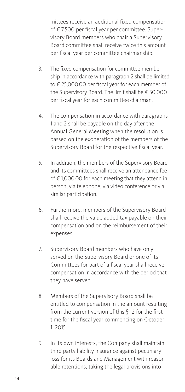mittees receive an additional fixed compensation of € 7,500 per fiscal year per committee. Supervisory Board members who chair a Supervisory Board committee shall receive twice this amount per fiscal year per committee chairmanship.

- 3. The fixed compensation for committee membership in accordance with paragraph 2 shall be limited to € 25,000.00 per fiscal year for each member of the Supervisory Board. The limit shall be € 50,000 per fiscal year for each committee chairman.
- 4. The compensation in accordance with paragraphs 1 and 2 shall be payable on the day after the Annual General Meeting when the resolution is passed on the exoneration of the members of the Supervisory Board for the respective fiscal year.
- 5. In addition, the members of the Supervisory Board and its committees shall receive an attendance fee of € 1,000.00 for each meeting that they attend in person, via telephone, via video conference or via similar participation.
- 6. Furthermore, members of the Supervisory Board shall receive the value added tax payable on their compensation and on the reimbursement of their expenses.
- 7. Supervisory Board members who have only served on the Supervisory Board or one of its Committees for part of a fiscal year shall receive compensation in accordance with the period that they have served.
- 8. Members of the Supervisory Board shall be entitled to compensation in the amount resulting from the current version of this § 12 for the first time for the fiscal year commencing on October 1, 2015.
- 9. In its own interests, the Company shall maintain third party liability insurance against pecuniary loss for its Boards and Management with reasonable retentions, taking the legal provisions into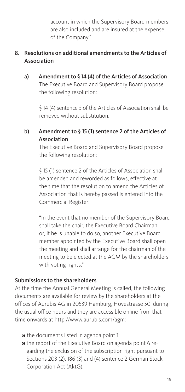account in which the Supervisory Board members are also included and are insured at the expense of the Company."

#### 8. Resolutions on additional amendments to the Articles of Association

a) Amendment to § 14 (4) of the Articles of Association The Executive Board and Supervisory Board propose the following resolution:

> § 14 (4) sentence 3 of the Articles of Association shall be removed without substitution.

### b) Amendment to § 15 (1) sentence 2 of the Articles of Association

The Executive Board and Supervisory Board propose the following resolution:

§ 15 (1) sentence 2 of the Articles of Association shall be amended and reworded as follows, effective at the time that the resolution to amend the Articles of Association that is hereby passed is entered into the Commercial Register:

"In the event that no member of the Supervisory Board shall take the chair, the Executive Board Chairman or, if he is unable to do so, another Executive Board member appointed by the Executive Board shall open the meeting and shall arrange for the chairman of the meeting to be elected at the AGM by the shareholders with voting rights."

#### Submissions to the shareholders

At the time the Annual General Meeting is called, the following documents are available for review by the shareholders at the offices of Aurubis AG in 20539 Hamburg, Hovestrasse 50, during the usual office hours and they are accessible online from that time onwards at http://www.aurubis.com/agm:

- » the documents listed in agenda point 1;
- » the report of the Executive Board on agenda point 6 regarding the exclusion of the subscription right pursuant to Sections 203 (2), 186 (3) and (4) sentence 2 German Stock Corporation Act (AktG).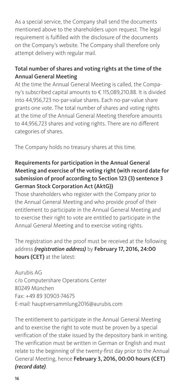As a special service, the Company shall send the documents mentioned above to the shareholders upon request. The legal requirement is fulfilled with the disclosure of the documents on the Company's website. The Company shall therefore only attempt delivery with regular mail.

## Total number of shares and voting rights at the time of the Annual General Meeting

At the time the Annual General Meeting is called, the Company's subscribed capital amounts to € 115,089,210.88. It is divided into 44,956,723 no-par-value shares. Each no-par-value share grants one vote. The total number of shares and voting rights at the time of the Annual General Meeting therefore amounts to 44,956,723 shares and voting rights. There are no different categories of shares.

The Company holds no treasury shares at this time.

#### Requirements for participation in the Annual General Meeting and exercise of the voting right (with record date for submission of proof according to Section 123 (3) sentence 3 German Stock Corporation Act (AktG))

Those shareholders who register with the Company prior to the Annual General Meeting and who provide proof of their entitlement to participate in the Annual General Meeting and to exercise their right to vote are entitled to participate in the Annual General Meeting and to exercise voting rights.

The registration and the proof must be received at the following address *(registration address)* by February 17, 2016, 24:00 hours (CET) at the latest:

Aurubis AG c/o Computershare Operations Center 80249 München Fax: +49 89 30903-74675 E-mail: hauptversammlung2016@aurubis.com

The entitlement to participate in the Annual General Meeting and to exercise the right to vote must be proven by a special verification of the stake issued by the depository bank in writing. The verification must be written in German or English and must relate to the beginning of the twenty-first day prior to the Annual General Meeting, hence February 3, 2016, 00:00 hours (CET) *(record date)*.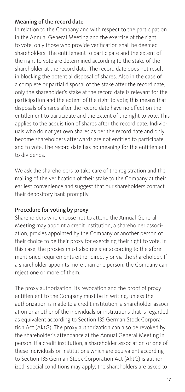#### Meaning of the record date

In relation to the Company and with respect to the participation in the Annual General Meeting and the exercise of the right to vote, only those who provide verification shall be deemed shareholders. The entitlement to participate and the extent of the right to vote are determined according to the stake of the shareholder at the record date. The record date does not result in blocking the potential disposal of shares. Also in the case of a complete or partial disposal of the stake after the record date, only the shareholder's stake at the record date is relevant for the participation and the extent of the right to vote; this means that disposals of shares after the record date have no effect on the entitlement to participate and the extent of the right to vote. This applies to the acquisition of shares after the record date. Individuals who do not yet own shares as per the record date and only become shareholders afterwards are not entitled to participate and to vote. The record date has no meaning for the entitlement to dividends.

We ask the shareholders to take care of the registration and the mailing of the verification of their stake to the Company at their earliest convenience and suggest that our shareholders contact their depository bank promptly.

## Procedure for voting by proxy

Shareholders who choose not to attend the Annual General Meeting may appoint a credit institution, a shareholder association, proxies appointed by the Company or another person of their choice to be their proxy for exercising their right to vote. In this case, the proxies must also register according to the aforementioned requirements either directly or via the shareholder. If a shareholder appoints more than one person, the Company can reject one or more of them.

The proxy authorization, its revocation and the proof of proxy entitlement to the Company must be in writing, unless the authorization is made to a credit institution, a shareholder association or another of the individuals or institutions that is regarded as equivalent according to Section 135 German Stock Corporation Act (AktG). The proxy authorization can also be revoked by the shareholder's attendance at the Annual General Meeting in person. If a credit institution, a shareholder association or one of these individuals or institutions which are equivalent according to Section 135 German Stock Corporation Act (AktG) is authorized, special conditions may apply; the shareholders are asked to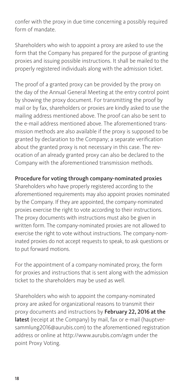confer with the proxy in due time concerning a possibly required form of mandate.

Shareholders who wish to appoint a proxy are asked to use the form that the Company has prepared for the purpose of granting proxies and issuing possible instructions. It shall be mailed to the properly registered individuals along with the admission ticket.

The proof of a granted proxy can be provided by the proxy on the day of the Annual General Meeting at the entry control point by showing the proxy document. For transmitting the proof by mail or by fax, shareholders or proxies are kindly asked to use the mailing address mentioned above. The proof can also be sent to the e-mail address mentioned above. The aforementioned transmission methods are also available if the proxy is supposed to be granted by declaration to the Company; a separate verification about the granted proxy is not necessary in this case. The revocation of an already granted proxy can also be declared to the Company with the aforementioned transmission methods.

#### Procedure for voting through company-nominated proxies

Shareholders who have properly registered according to the aforementioned requirements may also appoint proxies nominated by the Company. If they are appointed, the company-nominated proxies exercise the right to vote according to their instructions. The proxy documents with instructions must also be given in written form. The company-nominated proxies are not allowed to exercise the right to vote without instructions. The company-nominated proxies do not accept requests to speak, to ask questions or to put forward motions.

For the appointment of a company-nominated proxy, the form for proxies and instructions that is sent along with the admission ticket to the shareholders may be used as well.

Shareholders who wish to appoint the company-nominated proxy are asked for organizational reasons to transmit their proxy documents and instructions by February 22, 2016 at the latest (receipt at the Company) by mail, fax or e-mail (hauptversammlung2016@aurubis.com) to the aforementioned registration address or online at http://www.aurubis.com/agm under the point Proxy Voting.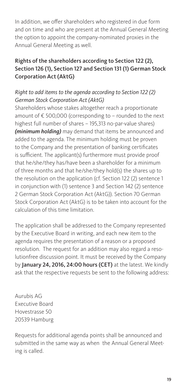In addition, we offer shareholders who registered in due form and on time and who are present at the Annual General Meeting the option to appoint the company-nominated proxies in the Annual General Meeting as well.

### Rights of the shareholders according to Section 122 (2), Section 126 (1), Section 127 and Section 131 (1) German Stock Corporation Act (AktG)

#### *Right to add items to the agenda according to Section 122 (2) German Stock Corporation Act (AktG)*

Shareholders whose stakes altogether reach a proportionate amount of € 500,000 (corresponding to – rounded to the next highest full number of shares – 195,313 no-par-value shares) *(minimum holding)* may demand that items be announced and added to the agenda. The minimum holding must be proven to the Company and the presentation of banking certificates is sufficient. The applicant(s) furthermore must provide proof that he/she/they has/have been a shareholder for a minimum of three months and that he/she/they hold(s) the shares up to the resolution on the application (cf. Section 122 (2) sentence 1 in conjunction with (1) sentence 3 and Section 142 (2) sentence 2 German Stock Corporation Act (AktG)). Section 70 German Stock Corporation Act (AktG) is to be taken into account for the calculation of this time limitation.

The application shall be addressed to the Company represented by the Executive Board in writing, and each new item to the agenda requires the presentation of a reason or a proposed resolution. The request for an addition may also regard a resolutionfree discussion point. It must be received by the Company by January 24, 2016, 24:00 hours (CET) at the latest. We kindly ask that the respective requests be sent to the following address:

Aurubis AG Executive Board Hovestrasse 50 20539 Hamburg

Requests for additional agenda points shall be announced and submitted in the same way as when the Annual General Meeting is called.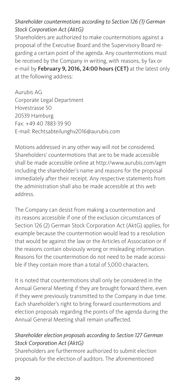### *Shareholder countermotions according to Section 126 (1) German Stock Corporation Act (AktG)*

Shareholders are authorized to make countermotions against a proposal of the Executive Board and the Supervisory Board regarding a certain point of the agenda. Any countermotions must be received by the Company in writing, with reasons, by fax or e-mail by February 9, 2016, 24:00 hours (CET) at the latest only at the following address:

Aurubis AG Corporate Legal Department Hovestrasse 50 20539 Hamburg Fax: +49 40 7883-39 90 E-mail: Rechtsabteilunghv2016@aurubis.com

Motions addressed in any other way will not be considered. Shareholders' countermotions that are to be made accessible shall be made accessible online at http://www.aurubis.com/agm including the shareholder's name and reasons for the proposal immediately after their receipt. Any respective statements from the administration shall also be made accessible at this web address.

The Company can desist from making a countermotion and its reasons accessible if one of the exclusion circumstances of Section 126 (2) German Stock Corporation Act (AktG) applies, for example because the countermotion would lead to a resolution that would be against the law or the Articles of Association or if the reasons contain obviously wrong or misleading information. Reasons for the countermotion do not need to be made accessible if they contain more than a total of 5,000 characters.

It is noted that countermotions shall only be considered in the Annual General Meeting if they are brought forward there, even if they were previously transmitted to the Company in due time. Each shareholder's right to bring forward countermotions and election proposals regarding the points of the agenda during the Annual General Meeting shall remain unaffected.

#### *Shareholder election proposals according to Section 127 German Stock Corporation Act (AktG)*

Shareholders are furthermore authorized to submit election proposals for the election of auditors. The aforementioned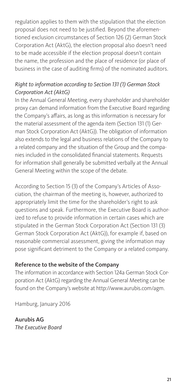regulation applies to them with the stipulation that the election proposal does not need to be justified. Beyond the aforementioned exclusion circumstances of Section 126 (2) German Stock Corporation Act (AktG), the election proposal also doesn't need to be made accessible if the election proposal doesn't contain the name, the profession and the place of residence (or place of business in the case of auditing firms) of the nominated auditors.

#### *Right to information according to Section 131 (1) German Stock Corporation Act (AktG)*

In the Annual General Meeting, every shareholder and shareholder proxy can demand information from the Executive Board regarding the Company's affairs, as long as this information is necessary for the material assessment of the agenda item (Section 131 (1) German Stock Corporation Act (AktG)). The obligation of information also extends to the legal and business relations of the Company to a related company and the situation of the Group and the companies included in the consolidated financial statements. Requests for information shall generally be submitted verbally at the Annual General Meeting within the scope of the debate.

According to Section 15 (3) of the Company's Articles of Association, the chairman of the meeting is, however, authorized to appropriately limit the time for the shareholder's right to ask questions and speak. Furthermore, the Executive Board is authorized to refuse to provide information in certain cases which are stipulated in the German Stock Corporation Act (Section 131 (3) German Stock Corporation Act (AktG)), for example if, based on reasonable commercial assessment, giving the information may pose significant detriment to the Company or a related company.

### Reference to the website of the Company

The information in accordance with Section 124a German Stock Corporation Act (AktG) regarding the Annual General Meeting can be found on the Company's website at http://www.aurubis.com/agm.

Hamburg, January 2016

Aurubis AG *The Executive Board*